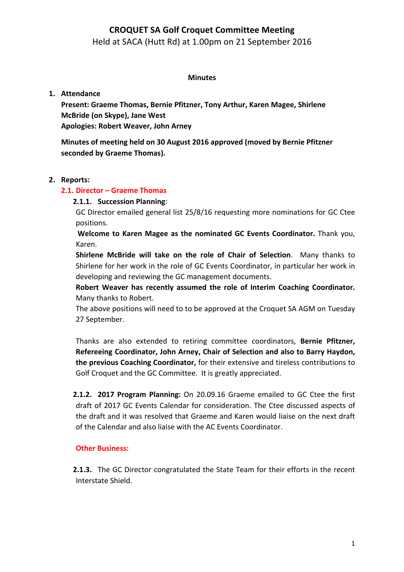Held at SACA (Hutt Rd) at 1.00pm on 21 September 2016

### **Minutes**

## **1. Attendance**

Present: Graeme Thomas, Bernie Pfitzner, Tony Arthur, Karen Magee, Shirlene **McBride (on Skype), Jane West Apologies: Robert Weaver, John Arney** 

**Minutes of meeting held on 30 August 2016 approved (moved by Bernie Pfitzner seconded by Graeme Thomas).**

## **2. Reports:**

## **2.1. Director – Graeme Thomas**

## **2.1.1. Succession Planning**:

GC Director emailed general list 25/8/16 requesting more nominations for GC Ctee positions. 

**Welcome to Karen Magee as the nominated GC Events Coordinator.** Thank you, Karen.

**Shirlene McBride will take on the role of Chair of Selection.** Many thanks to Shirlene for her work in the role of GC Events Coordinator, in particular her work in developing and reviewing the GC management documents.

Robert Weaver has recently assumed the role of Interim Coaching Coordinator. Many thanks to Robert.

The above positions will need to to be approved at the Croquet SA AGM on Tuesday 27 September.

Thanks are also extended to retiring committee coordinators, Bernie Pfitzner, **Refereeing Coordinator, John Arney, Chair of Selection and also to Barry Haydon, the previous Coaching Coordinator,** for their extensive and tireless contributions to Golf Croquet and the GC Committee. It is greatly appreciated.

**2.1.2. 2017 Program Planning:** On 20.09.16 Graeme emailed to GC Ctee the first draft of 2017 GC Events Calendar for consideration. The Ctee discussed aspects of the draft and it was resolved that Graeme and Karen would liaise on the next draft of the Calendar and also liaise with the AC Events Coordinator.

## **Other Business:**

**2.1.3.** The GC Director congratulated the State Team for their efforts in the recent Interstate Shield.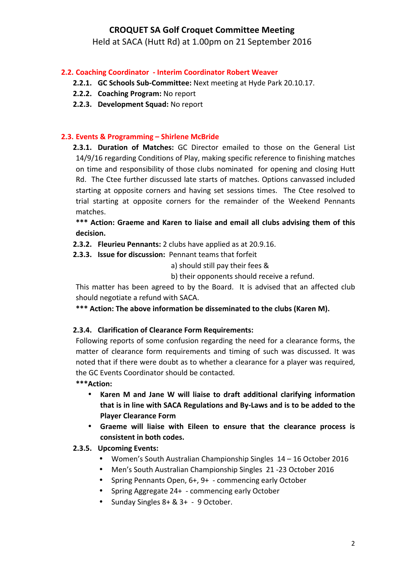Held at SACA (Hutt Rd) at 1.00pm on 21 September 2016

## **2.2. Coaching Coordinator - Interim Coordinator Robert Weaver**

- **2.2.1. GC Schools Sub-Committee:** Next meeting at Hyde Park 20.10.17.
- **2.2.2. Coaching Program:** No report
- 2.2.3. Development Squad: No report

### **2.3. Events & Programming – Shirlene McBride**

**2.3.1. Duration of Matches:** GC Director emailed to those on the General List 14/9/16 regarding Conditions of Play, making specific reference to finishing matches on time and responsibility of those clubs nominated for opening and closing Hutt Rd. The Ctee further discussed late starts of matches. Options canvassed included starting at opposite corners and having set sessions times. The Ctee resolved to trial starting at opposite corners for the remainder of the Weekend Pennants matches.

\*\*\* Action: Graeme and Karen to liaise and email all clubs advising them of this **decision.**

**2.3.2. Fleurieu Pennants:** 2 clubs have applied as at 20.9.16.

**2.3.3. Issue for discussion:** Pennant teams that forfeit

a) should still pay their fees &

b) their opponents should receive a refund.

This matter has been agreed to by the Board. It is advised that an affected club should negotiate a refund with SACA.

\*\*\* Action: The above information be disseminated to the clubs (Karen M).

#### 2.3.4. Clarification of Clearance Form Requirements:

Following reports of some confusion regarding the need for a clearance forms, the matter of clearance form requirements and timing of such was discussed. It was noted that if there were doubt as to whether a clearance for a player was required, the GC Events Coordinator should be contacted.

**\*\*\*Action:** 

- **Karen M and Jane W will liaise to draft additional clarifying information** that is in line with SACA Regulations and By-Laws and is to be added to the **Player Clearance Form**
- Graeme will liaise with Eileen to ensure that the clearance process is consistent in both codes.

## **2.3.5. Upcoming Events:**

- Women's South Australian Championship Singles 14 16 October 2016
- Men's South Australian Championship Singles 21 -23 October 2016
- Spring Pennants Open, 6+, 9+ commencing early October
- Spring Aggregate 24+ commencing early October
- Sunday Singles  $8+ 8$ ,  $3+ 9$  October.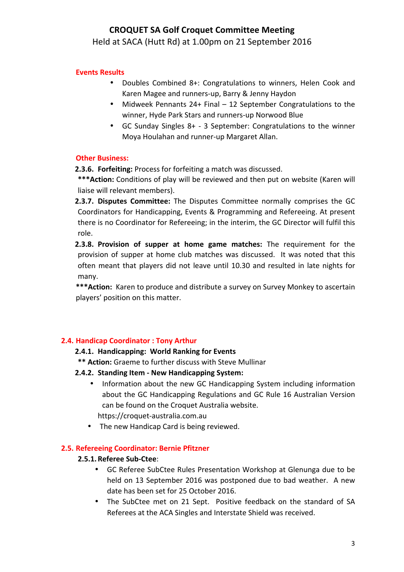Held at SACA (Hutt Rd) at 1.00pm on 21 September 2016

## **Events Results**

- Doubles Combined 8+: Congratulations to winners, Helen Cook and Karen Magee and runners-up, Barry & Jenny Haydon
- Midweek Pennants 24+ Final 12 September Congratulations to the winner, Hyde Park Stars and runners-up Norwood Blue
- GC Sunday Singles  $8+ 3$  September: Congratulations to the winner Moya Houlahan and runner-up Margaret Allan.

### **Other Business:**

**2.3.6. Forfeiting:** Process for forfeiting a match was discussed.

\*\*\* Action: Conditions of play will be reviewed and then put on website (Karen will liaise will relevant members).

**2.3.7. Disputes Committee:** The Disputes Committee normally comprises the GC Coordinators for Handicapping, Events & Programming and Refereeing. At present there is no Coordinator for Refereeing; in the interim, the GC Director will fulfil this role.

**2.3.8. Provision of supper at home game matches:** The requirement for the provision of supper at home club matches was discussed. It was noted that this often meant that players did not leave until 10.30 and resulted in late nights for many.

\*\*\* Action: Karen to produce and distribute a survey on Survey Monkey to ascertain players' position on this matter.

## **2.4. Handicap Coordinator: Tony Arthur**

#### 2.4.1. Handicapping: World Ranking for Events

- \*\* Action: Graeme to further discuss with Steve Mullinar
- **2.4.2. Standing Item - New Handicapping System:** 
	- Information about the new GC Handicapping System including information about the GC Handicapping Regulations and GC Rule 16 Australian Version can be found on the Croquet Australia website.
		- https://croquet-australia.com.au
	- The new Handicap Card is being reviewed.

#### **2.5. Refereeing Coordinator: Bernie Pfitzner**

#### **2.5.1.Referee Sub-Ctee**:

- GC Referee SubCtee Rules Presentation Workshop at Glenunga due to be held on 13 September 2016 was postponed due to bad weather. A new date has been set for 25 October 2016.
- The SubCtee met on 21 Sept. Positive feedback on the standard of SA Referees at the ACA Singles and Interstate Shield was received.